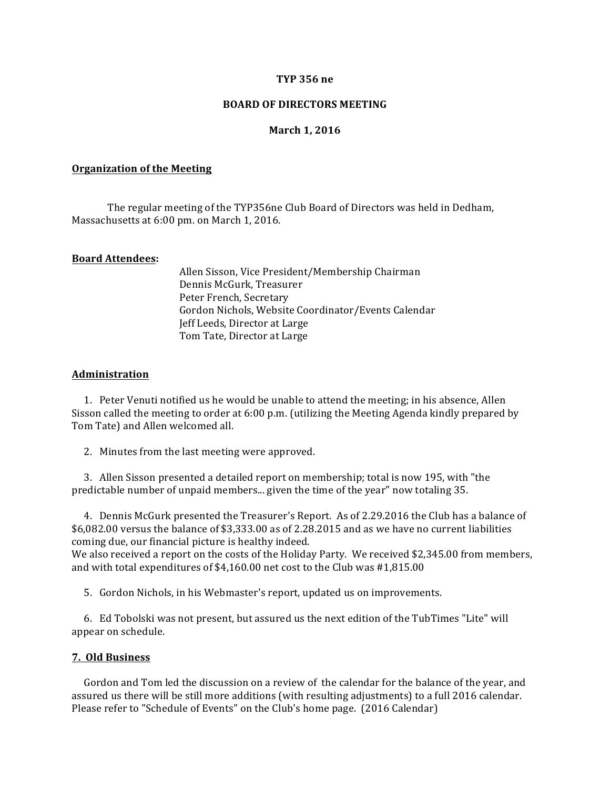## **TYP 356 ne**

## **BOARD OF DIRECTORS MEETING**

## **March 1, 2016**

#### **Organization of the Meeting**

The regular meeting of the TYP356ne Club Board of Directors was held in Dedham, Massachusetts at 6:00 pm. on March 1, 2016.

## **Board Attendees:**

Allen Sisson, Vice President/Membership Chairman Dennis McGurk, Treasurer Peter French, Secretary Gordon Nichols, Website Coordinator/Events Calendar Jeff Leeds, Director at Large Tom Tate, Director at Large

#### **Administration**

1. Peter Venuti notified us he would be unable to attend the meeting; in his absence, Allen Sisson called the meeting to order at  $6:00$  p.m. (utilizing the Meeting Agenda kindly prepared by Tom Tate) and Allen welcomed all.

2. Minutes from the last meeting were approved.

3. Allen Sisson presented a detailed report on membership; total is now 195, with "the predictable number of unpaid members... given the time of the year" now totaling 35.

4. Dennis McGurk presented the Treasurer's Report. As of 2.29.2016 the Club has a balance of \$6,082.00 versus the balance of \$3,333.00 as of 2.28.2015 and as we have no current liabilities coming due, our financial picture is healthy indeed.

We also received a report on the costs of the Holiday Party. We received \$2,345.00 from members, and with total expenditures of  $$4,160.00$  net cost to the Club was  $#1,815.00$ 

5. Gordon Nichols, in his Webmaster's report, updated us on improvements.

6. Ed Tobolski was not present, but assured us the next edition of the TubTimes "Lite" will appear on schedule.

# **7. Old Business**

Gordon and Tom led the discussion on a review of the calendar for the balance of the year, and assured us there will be still more additions (with resulting adjustments) to a full 2016 calendar. Please refer to "Schedule of Events" on the Club's home page. (2016 Calendar)